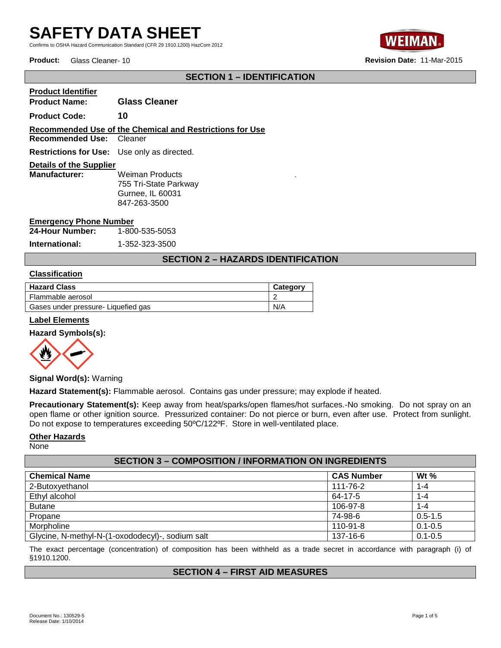Confirms to OSHA Hazard Communication Standard (CFR 29 1910.1200) HazCom 2012



**Product:** Glass Cleaner- 10 **Revision Date:** 11-Mar-2015

## **SECTION 1 – IDENTIFICATION**

**Product Identifier Product Name: Glass Cleaner Product Code: 10 Recommended Use of the Chemical and Restrictions for Use Recommended Use: Restrictions for Use:** Use only as directed. **Details of the Supplier Weiman Products** 755 Tri-State Parkway Gurnee, IL 60031 847-263-3500

#### **Emergency Phone Number**

**24-Hour Number:** 1-800-535-5053

**International:** 1-352-323-3500

## **SECTION 2 – HAZARDS IDENTIFICATION**

.

#### **Classification**

| <b>Hazard Class</b>                 | Category |
|-------------------------------------|----------|
| Flammable aerosol                   |          |
| Gases under pressure- Liquefied gas | N/A      |

#### **Label Elements**

#### **Hazard Symbols(s):**



**Signal Word(s):** Warning

**Hazard Statement(s):** Flammable aerosol. Contains gas under pressure; may explode if heated.

**Precautionary Statement(s):** Keep away from heat/sparks/open flames/hot surfaces.-No smoking. Do not spray on an open flame or other ignition source. Pressurized container: Do not pierce or burn, even after use. Protect from sunlight. Do not expose to temperatures exceeding 50ºC/122ºF. Store in well-ventilated place.

#### **Other Hazards**

None

| <b>SECTION 3 - COMPOSITION / INFORMATION ON INGREDIENTS</b> |                   |             |  |
|-------------------------------------------------------------|-------------------|-------------|--|
| <b>Chemical Name</b>                                        | <b>CAS Number</b> | Wt $%$      |  |
| 2-Butoxyethanol                                             | 111-76-2          | $1 - 4$     |  |
| Ethyl alcohol                                               | 64-17-5           | 1-4         |  |
| <b>Butane</b>                                               | 106-97-8          | 1-4         |  |
| Propane                                                     | 74-98-6           | $0.5 - 1.5$ |  |
| Morpholine                                                  | 110-91-8          | $0.1 - 0.5$ |  |
| Glycine, N-methyl-N-(1-oxododecyl)-, sodium salt            | 137-16-6          | $0.1 - 0.5$ |  |

The exact percentage (concentration) of composition has been withheld as a trade secret in accordance with paragraph (i) of §1910.1200.

#### **SECTION 4 – FIRST AID MEASURES**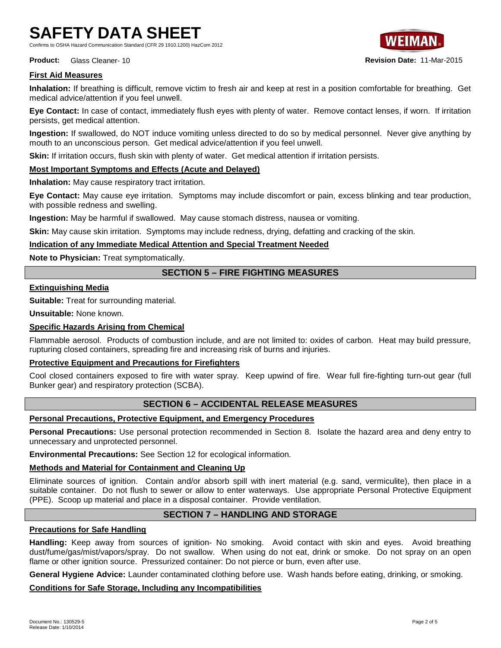Confirms to OSHA Hazard Communication Standard (CFR 29 1910.1200) HazCom 2012

**Product:** Glass Cleaner- 10 **Revision Date:** 11-Mar-2015

## **First Aid Measures**

**Inhalation:** If breathing is difficult, remove victim to fresh air and keep at rest in a position comfortable for breathing. Get medical advice/attention if you feel unwell.

**Eye Contact:** In case of contact, immediately flush eyes with plenty of water. Remove contact lenses, if worn. If irritation persists, get medical attention.

**Ingestion:** If swallowed, do NOT induce vomiting unless directed to do so by medical personnel. Never give anything by mouth to an unconscious person. Get medical advice/attention if you feel unwell.

**Skin:** If irritation occurs, flush skin with plenty of water. Get medical attention if irritation persists.

## **Most Important Symptoms and Effects (Acute and Delayed)**

**Inhalation:** May cause respiratory tract irritation.

**Eye Contact:** May cause eye irritation. Symptoms may include discomfort or pain, excess blinking and tear production, with possible redness and swelling.

**Ingestion:** May be harmful if swallowed. May cause stomach distress, nausea or vomiting.

**Skin:** May cause skin irritation. Symptoms may include redness, drying, defatting and cracking of the skin.

#### **Indication of any Immediate Medical Attention and Special Treatment Needed**

**Note to Physician:** Treat symptomatically.

## **SECTION 5 – FIRE FIGHTING MEASURES**

### **Extinguishing Media**

**Suitable:** Treat for surrounding material.

**Unsuitable:** None known.

#### **Specific Hazards Arising from Chemical**

Flammable aerosol. Products of combustion include, and are not limited to: oxides of carbon. Heat may build pressure, rupturing closed containers, spreading fire and increasing risk of burns and injuries.

#### **Protective Equipment and Precautions for Firefighters**

Cool closed containers exposed to fire with water spray. Keep upwind of fire. Wear full fire-fighting turn-out gear (full Bunker gear) and respiratory protection (SCBA).

### **SECTION 6 – ACCIDENTAL RELEASE MEASURES**

## **Personal Precautions, Protective Equipment, and Emergency Procedures**

**Personal Precautions:** Use personal protection recommended in Section 8. Isolate the hazard area and deny entry to unnecessary and unprotected personnel.

**Environmental Precautions:** See Section 12 for ecological information.

#### **Methods and Material for Containment and Cleaning Up**

Eliminate sources of ignition. Contain and/or absorb spill with inert material (e.g. sand, vermiculite), then place in a suitable container. Do not flush to sewer or allow to enter waterways. Use appropriate Personal Protective Equipment (PPE). Scoop up material and place in a disposal container. Provide ventilation.

## **SECTION 7 – HANDLING AND STORAGE**

#### **Precautions for Safe Handling**

**Handling:** Keep away from sources of ignition- No smoking. Avoid contact with skin and eyes. Avoid breathing dust/fume/gas/mist/vapors/spray. Do not swallow. When using do not eat, drink or smoke. Do not spray on an open flame or other ignition source. Pressurized container: Do not pierce or burn, even after use.

**General Hygiene Advice:** Launder contaminated clothing before use. Wash hands before eating, drinking, or smoking.

#### **Conditions for Safe Storage, Including any Incompatibilities**

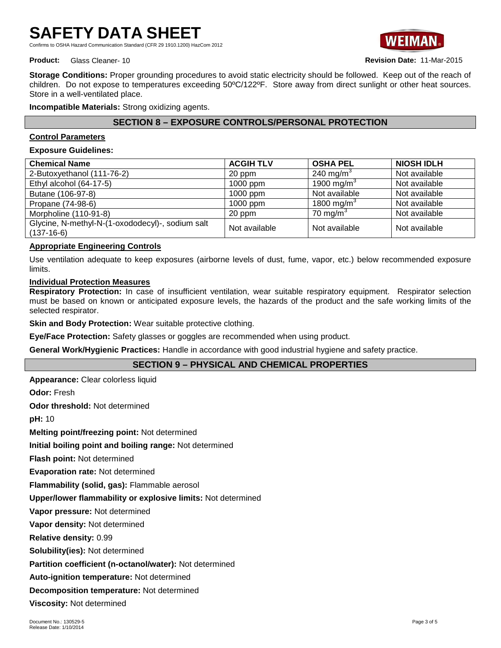Confirms to OSHA Hazard Communication Standard (CFR 29 1910.1200) HazCom 2012



**Product:** Glass Cleaner- 10 **Revision Date:** 11-Mar-2015

**Storage Conditions:** Proper grounding procedures to avoid static electricity should be followed. Keep out of the reach of children. Do not expose to temperatures exceeding 50ºC/122ºF. Store away from direct sunlight or other heat sources. Store in a well-ventilated place.

**Incompatible Materials:** Strong oxidizing agents.

## **SECTION 8 – EXPOSURE CONTROLS/PERSONAL PROTECTION**

## **Control Parameters**

### **Exposure Guidelines:**

| <b>Chemical Name</b>                                             | <b>ACGIH TLV</b> | <b>OSHA PEL</b>        | <b>NIOSH IDLH</b> |
|------------------------------------------------------------------|------------------|------------------------|-------------------|
| 2-Butoxyethanol (111-76-2)                                       | 20 ppm           | 240 mg/m $3$           | Not available     |
| Ethyl alcohol (64-17-5)                                          | 1000 ppm         | 1900 mg/m <sup>3</sup> | Not available     |
| Butane (106-97-8)                                                | 1000 ppm         | Not available          | Not available     |
| Propane (74-98-6)                                                | 1000 ppm         | 1800 mg/m <sup>3</sup> | Not available     |
| Morpholine (110-91-8)                                            | 20 ppm           | 70 mg/m <sup>3</sup>   | Not available     |
| Glycine, N-methyl-N-(1-oxododecyl)-, sodium salt<br>$(137-16-6)$ | Not available    | Not available          | Not available     |

## **Appropriate Engineering Controls**

Use ventilation adequate to keep exposures (airborne levels of dust, fume, vapor, etc.) below recommended exposure limits.

## **Individual Protection Measures**

**Respiratory Protection:** In case of insufficient ventilation, wear suitable respiratory equipment. Respirator selection must be based on known or anticipated exposure levels, the hazards of the product and the safe working limits of the selected respirator.

**Skin and Body Protection:** Wear suitable protective clothing.

**Eye/Face Protection:** Safety glasses or goggles are recommended when using product.

**General Work/Hygienic Practices:** Handle in accordance with good industrial hygiene and safety practice.

## **SECTION 9 – PHYSICAL AND CHEMICAL PROPERTIES**

**Appearance:** Clear colorless liquid

**Odor:** Fresh

**Odor threshold:** Not determined

**pH:** 10

**Melting point/freezing point:** Not determined

**Initial boiling point and boiling range:** Not determined

**Flash point:** Not determined

**Evaporation rate:** Not determined

**Flammability (solid, gas):** Flammable aerosol

**Upper/lower flammability or explosive limits:** Not determined

**Vapor pressure:** Not determined

**Vapor density:** Not determined

**Relative density:** 0.99

**Solubility(ies):** Not determined

**Partition coefficient (n-octanol/water):** Not determined

**Auto-ignition temperature:** Not determined

**Decomposition temperature:** Not determined

**Viscosity:** Not determined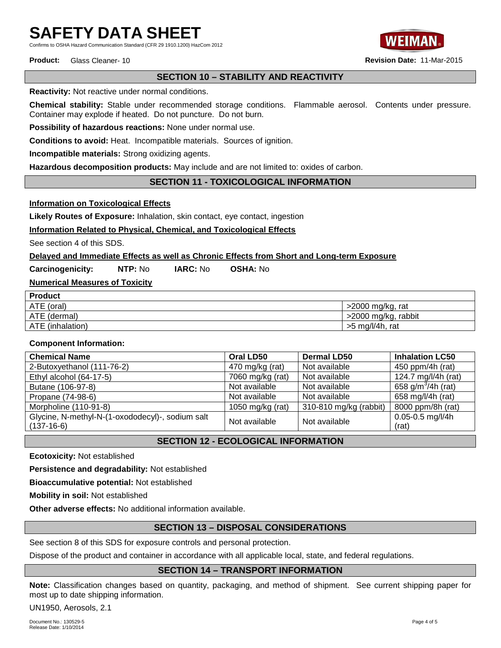Confirms to OSHA Hazard Communication Standard (CFR 29 1910.1200) HazCom 2012



## **SECTION 10 – STABILITY AND REACTIVITY**

**Reactivity:** Not reactive under normal conditions.

**Chemical stability:** Stable under recommended storage conditions. Flammable aerosol. Contents under pressure. Container may explode if heated. Do not puncture. Do not burn.

**Possibility of hazardous reactions:** None under normal use.

**Conditions to avoid:** Heat. Incompatible materials. Sources of ignition.

**Incompatible materials:** Strong oxidizing agents.

**Hazardous decomposition products:** May include and are not limited to: oxides of carbon.

## **SECTION 11 - TOXICOLOGICAL INFORMATION**

**Information on Toxicological Effects**

**Likely Routes of Exposure:** Inhalation, skin contact, eye contact, ingestion

**Information Related to Physical, Chemical, and Toxicological Effects**

See section 4 of this SDS.

## **Delayed and Immediate Effects as well as Chronic Effects from Short and Long-term Exposure**

**Carcinogenicity: NTP:** No **IARC:** No **OSHA:** No

**Numerical Measures of Toxicity**

| <b>Product</b>   |                     |
|------------------|---------------------|
| ATE (oral)       | $>$ 2000 mg/kg, rat |
| ATE (dermal)     | >2000 mg/kg, rabbit |
| ATE (inhalation) | $>5$ mg/l/4h, rat   |

#### **Component Information:**

| <b>Chemical Name</b>                             | Oral LD50                      | <b>Dermal LD50</b>     | <b>Inhalation LC50</b>         |
|--------------------------------------------------|--------------------------------|------------------------|--------------------------------|
| 2-Butoxyethanol (111-76-2)                       | 470 mg/kg (rat)                | Not available          | 450 ppm/4h (rat)               |
| Ethyl alcohol (64-17-5)                          | 7060 mg/kg (rat)               | Not available          | 124.7 mg/l/4h (rat)            |
| Butane (106-97-8)                                | Not available                  | Not available          | 658 g/m <sup>3</sup> /4h (rat) |
| Propane (74-98-6)                                | Not available                  | Not available          | 658 mg/l/4h (rat)              |
| Morpholine (110-91-8)                            | 1050 mg/kg (rat)               | 310-810 mg/kg (rabbit) | 8000 ppm/8h (rat)              |
| Glycine, N-methyl-N-(1-oxododecyl)-, sodium salt | Not available<br>Not available | $0.05 - 0.5$ mg/l/4h   |                                |
| $(137-16-6)$                                     |                                |                        | (rat)                          |

**SECTION 12 - ECOLOGICAL INFORMATION**

**Ecotoxicity:** Not established

**Persistence and degradability:** Not established

**Bioaccumulative potential:** Not established

**Mobility in soil:** Not established

**Other adverse effects:** No additional information available.

## **SECTION 13 – DISPOSAL CONSIDERATIONS**

See section 8 of this SDS for exposure controls and personal protection.

Dispose of the product and container in accordance with all applicable local, state, and federal regulations.

## **SECTION 14 – TRANSPORT INFORMATION**

**Note:** Classification changes based on quantity, packaging, and method of shipment. See current shipping paper for most up to date shipping information.

UN1950, Aerosols, 2.1